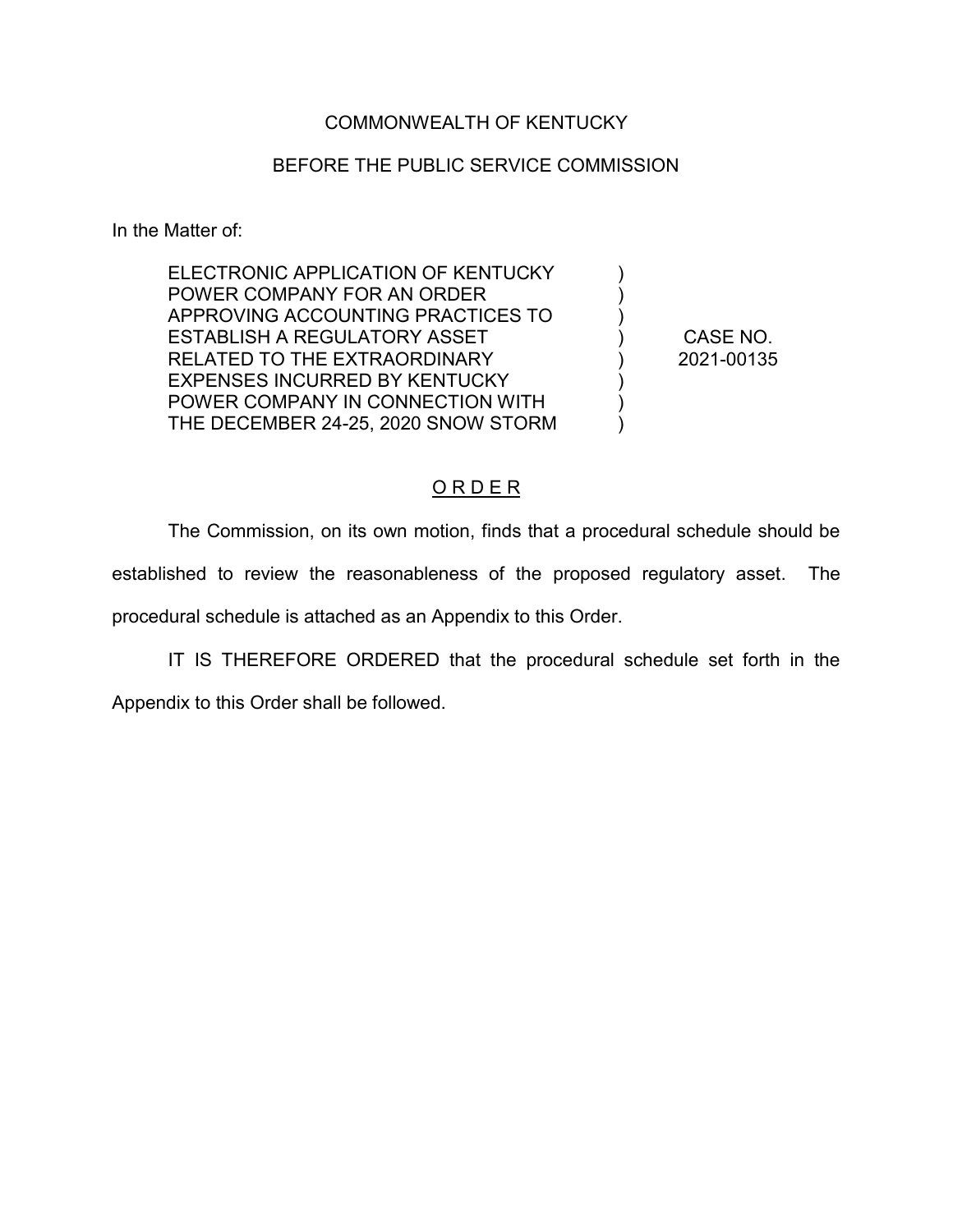### COMMONWEALTH OF KENTUCKY

### BEFORE THE PUBLIC SERVICE COMMISSION

In the Matter of:

ELECTRONIC APPLICATION OF KENTUCKY POWER COMPANY FOR AN ORDER APPROVING ACCOUNTING PRACTICES TO ESTABLISH A REGULATORY ASSET RELATED TO THE EXTRAORDINARY EXPENSES INCURRED BY KENTUCKY POWER COMPANY IN CONNECTION WITH THE DECEMBER 24-25, 2020 SNOW STORM

CASE NO. 2021-00135

 $\lambda$ ) ) ) ) )  $\lambda$  $\lambda$ 

### O R D E R

The Commission, on its own motion, finds that a procedural schedule should be established to review the reasonableness of the proposed regulatory asset. The procedural schedule is attached as an Appendix to this Order.

IT IS THEREFORE ORDERED that the procedural schedule set forth in the

Appendix to this Order shall be followed.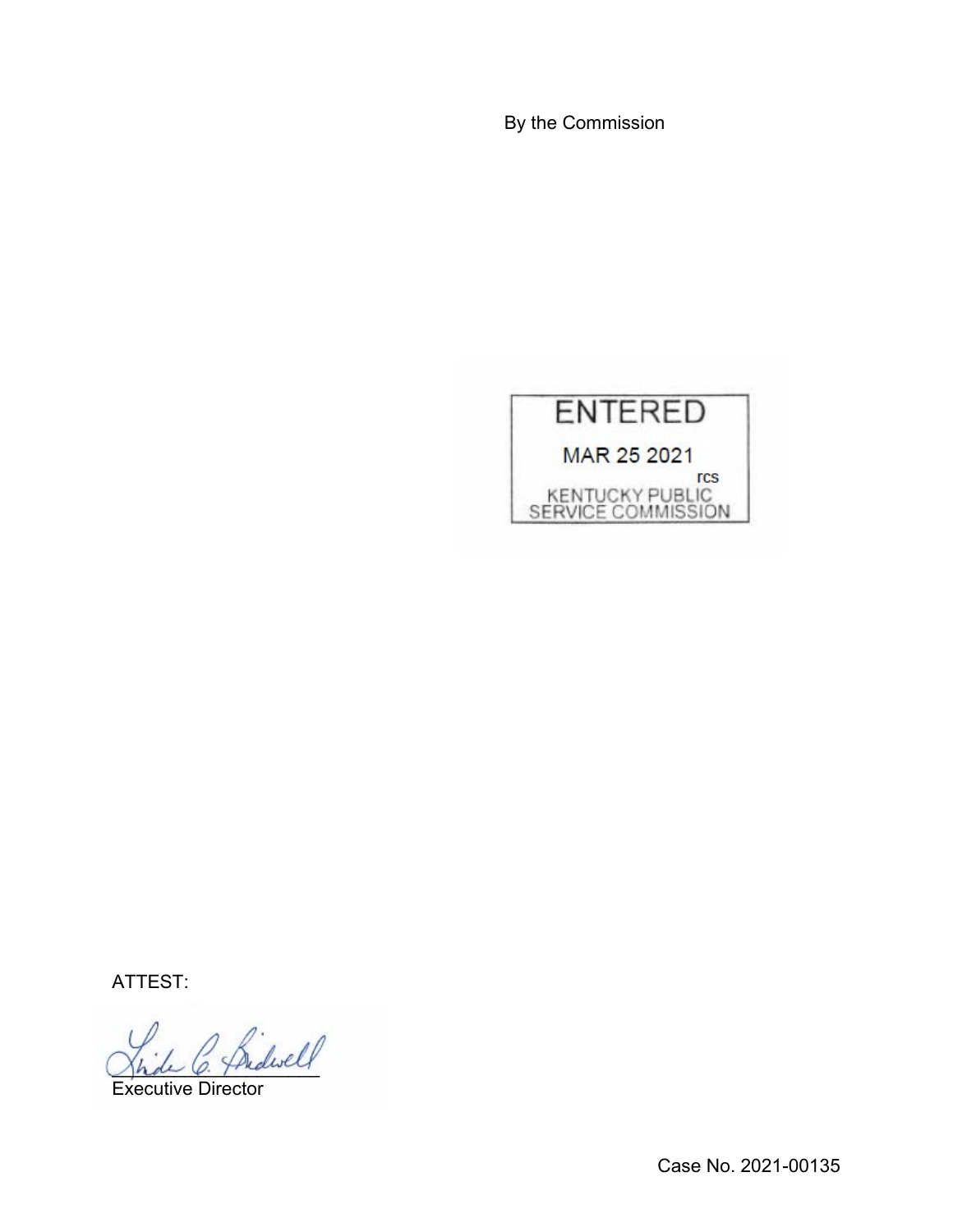By the Commission



ATTEST:

fridwell

Executive Director

Case No. 2021-00135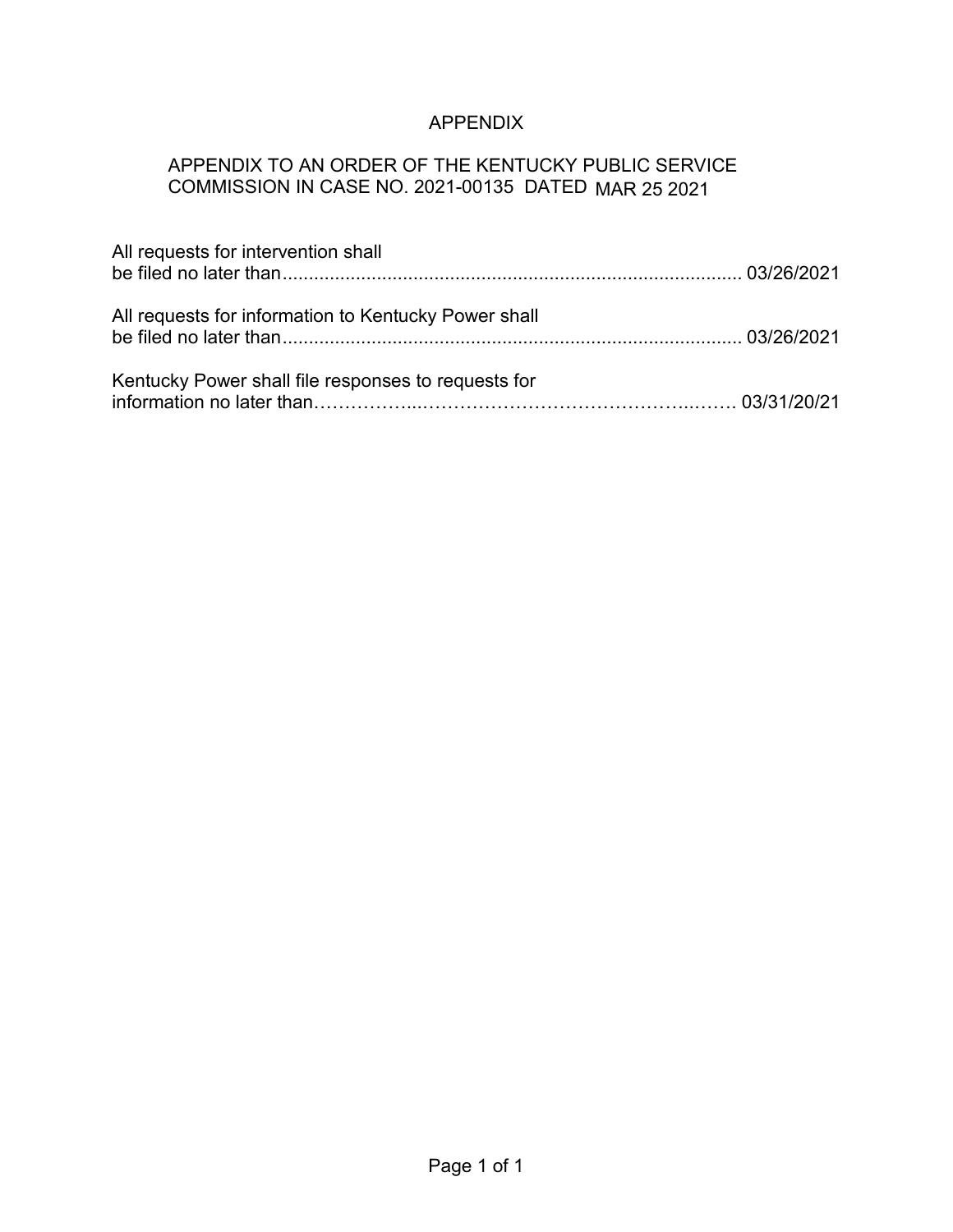# APPENDIX

# APPENDIX TO AN ORDER OF THE KENTUCKY PUBLIC SERVICE COMMISSION IN CASE NO. 2021-00135 DATED MAR 25 2021

| All requests for intervention shall                  |  |
|------------------------------------------------------|--|
| All requests for information to Kentucky Power shall |  |
| Kentucky Power shall file responses to requests for  |  |